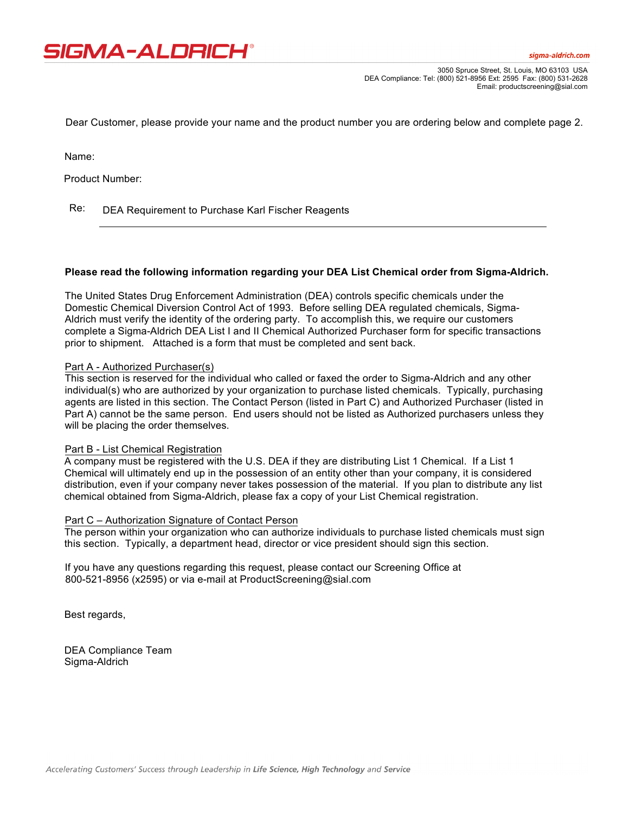

3050 Spruce Street, St. Louis, MO 63103 USA DEA Compliance: Tel: (800) 521-8956 Ext: 2595 Fax: (800) 531-2628 Email: productscreening@sial.com

Dear Customer, please provide your name and the product number you are ordering below and complete page 2.

Name:

Product Number:

Re: DEA Requirement to Purchase Karl Fischer Reagents

### **Please read the following information regarding your DEA List Chemical order from Sigma-Aldrich.**

The United States Drug Enforcement Administration (DEA) controls specific chemicals under the Domestic Chemical Diversion Control Act of 1993. Before selling DEA regulated chemicals, Sigma-Aldrich must verify the identity of the ordering party. To accomplish this, we require our customers complete a Sigma-Aldrich DEA List I and II Chemical Authorized Purchaser form for specific transactions prior to shipment. Attached is a form that must be completed and sent back.

### Part A - Authorized Purchaser(s)

This section is reserved for the individual who called or faxed the order to Sigma-Aldrich and any other individual(s) who are authorized by your organization to purchase listed chemicals. Typically, purchasing agents are listed in this section. The Contact Person (listed in Part C) and Authorized Purchaser (listed in Part A) cannot be the same person. End users should not be listed as Authorized purchasers unless they will be placing the order themselves.

### Part B - List Chemical Registration

A company must be registered with the U.S. DEA if they are distributing List 1 Chemical. If a List 1 Chemical will ultimately end up in the possession of an entity other than your company, it is considered distribution, even if your company never takes possession of the material. If you plan to distribute any list chemical obtained from Sigma-Aldrich, please fax a copy of your List Chemical registration.

### Part C – Authorization Signature of Contact Person

The person within your organization who can authorize individuals to purchase listed chemicals must sign this section. Typically, a department head, director or vice president should sign this section.

If you have any questions regarding this request, please contact our Screening Office at 800-521-8956 (x2595) or via e-mail at ProductScreening@sial.com

Best regards,

DEA Compliance Team Sigma-Aldrich